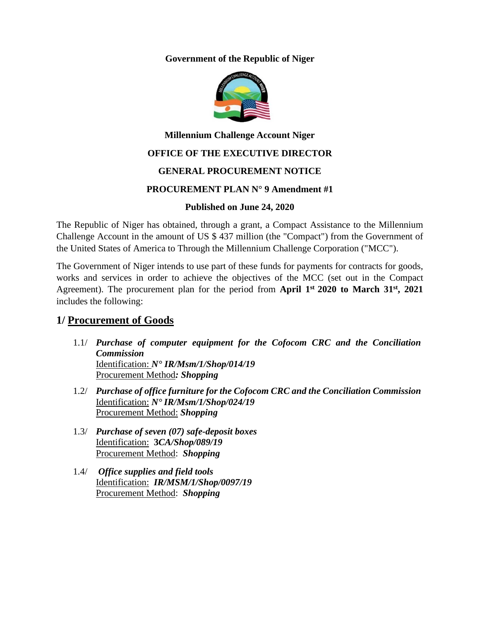#### **Government of the Republic of Niger**



# **Millennium Challenge Account Niger**

## **OFFICE OF THE EXECUTIVE DIRECTOR**

## **GENERAL PROCUREMENT NOTICE**

#### **PROCUREMENT PLAN N° 9 Amendment #1**

## **Published on June 24, 2020**

The Republic of Niger has obtained, through a grant, a Compact Assistance to the Millennium Challenge Account in the amount of US \$ 437 million (the "Compact") from the Government of the United States of America to Through the Millennium Challenge Corporation ("MCC").

The Government of Niger intends to use part of these funds for payments for contracts for goods, works and services in order to achieve the objectives of the MCC (set out in the Compact Agreement). The procurement plan for the period from **April 1st 2020 to March 31st, 2021** includes the following:

## **1/ Procurement of Goods**

- 1.1/ *Purchase of computer equipment for the Cofocom CRC and the Conciliation Commission* Identification: *N° IR/Msm/1/Shop/014/19* Procurement Method*: Shopping*
- 1.2/ *Purchase of office furniture for the Cofocom CRC and the Conciliation Commission* Identification: *N° IR/Msm/1/Shop/024/19* Procurement Method: *Shopping*
- 1.3/ *Purchase of seven (07) safe-deposit boxes* Identification: **3***CA/Shop/089/19* Procurement Method: *Shopping*
- 1.4/ *Office supplies and field tools* Identification: *IR/MSM/1/Shop/0097/19* Procurement Method: *Shopping*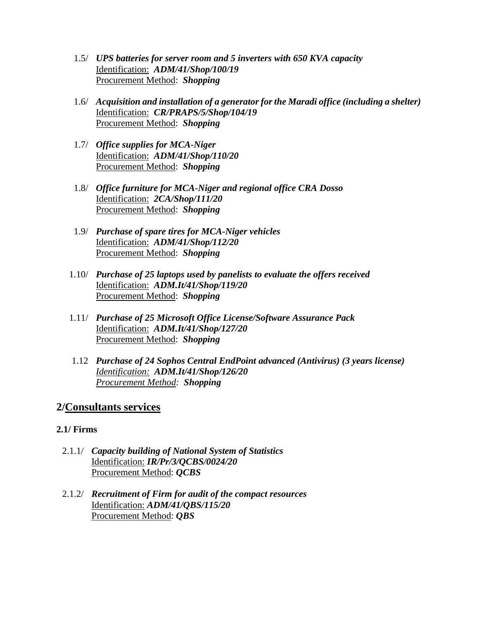- 1.5/ *UPS batteries for server room and 5 inverters with 650 KVA capacity* Identification: *ADM/41/Shop/100/19* Procurement Method: *Shopping*
- 1.6/ *Acquisition and installation of a generator for the Maradi office (including a shelter)* Identification: *CR/PRAPS/5/Shop/104/19* Procurement Method: *Shopping*
- 1.7/ *Office supplies for MCA-Niger* Identification: *ADM/41/Shop/110/20* Procurement Method: *Shopping*
- 1.8/ *Office furniture for MCA-Niger and regional office CRA Dosso* Identification: *2CA/Shop/111/20* Procurement Method: *Shopping*
- 1.9/ *Purchase of spare tires for MCA-Niger vehicles* Identification: *ADM/41/Shop/112/20* Procurement Method: *Shopping*
- 1.10/ *Purchase of 25 laptops used by panelists to evaluate the offers received* Identification: *ADM.It/41/Shop/119/20* Procurement Method: *Shopping*
- 1.11/ *Purchase of 25 Microsoft Office License/Software Assurance Pack* Identification: *ADM.It/41/Shop/127/20* Procurement Method: *Shopping*
- 1.12 *Purchase of 24 Sophos Central EndPoint advanced (Antivirus) (3 years license) Identification: ADM.It/41/Shop/126/20 Procurement Method: Shopping*

## **2/Consultants services**

## **2.1/ Firms**

- 2.1.1/ *Capacity building of National System of Statistics* Identification: *IR/Pr/3/QCBS/0024/20* Procurement Method: *QCBS*
- 2.1.2/ *Recruitment of Firm for audit of the compact resources* Identification: *ADM/41/QBS/115/20* Procurement Method: *QBS*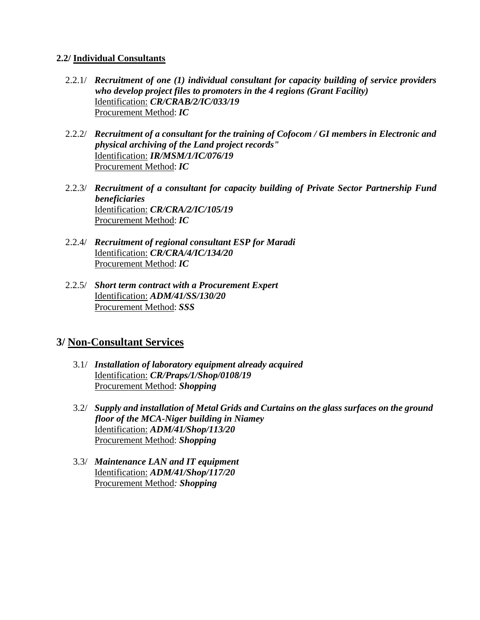#### **2.2/ Individual Consultants**

- 2.2.1/ *Recruitment of one (1) individual consultant for capacity building of service providers who develop project files to promoters in the 4 regions (Grant Facility)* Identification: *CR/CRAB/2/IC/033/19* Procurement Method: *IC*
- 2.2.2/ *Recruitment of a consultant for the training of Cofocom / GI members in Electronic and physical archiving of the Land project records"* Identification: *IR/MSM/1/IC/076/19* Procurement Method: *IC*
- 2.2.3/ *Recruitment of a consultant for capacity building of Private Sector Partnership Fund beneficiaries* Identification: *CR/CRA/2/IC/105/19* Procurement Method: *IC*
- 2.2.4/ *Recruitment of regional consultant ESP for Maradi* Identification: *CR/CRA/4/IC/134/20* Procurement Method: *IC*
- 2.2.5/ *Short term contract with a Procurement Expert* Identification: *ADM/41/SS/130/20* Procurement Method: *SSS*

## **3/ Non-Consultant Services**

- 3.1/ *Installation of laboratory equipment already acquired* Identification: *CR/Praps/1/Shop/0108/19* Procurement Method: *Shopping*
- 3.2/ *Supply and installation of Metal Grids and Curtains on the glass surfaces on the ground floor of the MCA-Niger building in Niamey* Identification: *ADM/41/Shop/113/20* Procurement Method: *Shopping*
- 3.3/ *Maintenance LAN and IT equipment* Identification: *ADM/41/Shop/117/20* Procurement Method*: Shopping*